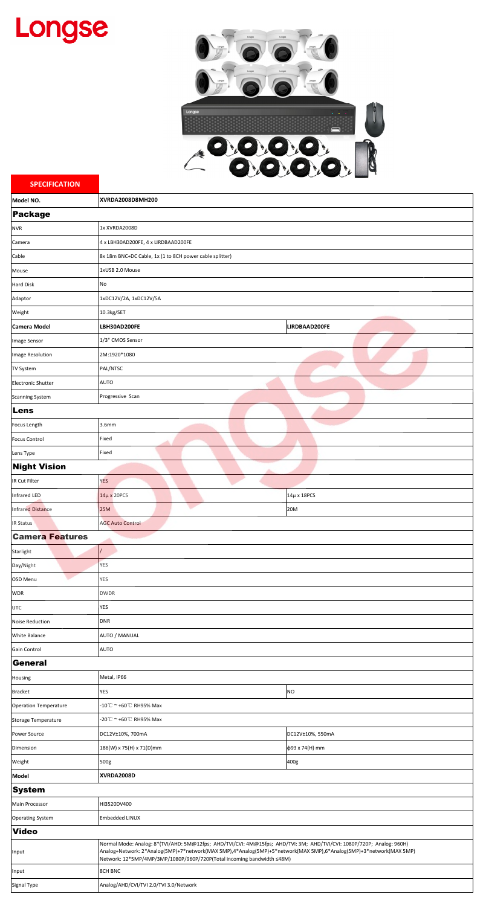## Longse



| <b>SPECIFICATION</b>                                  | $\checkmark$<br>∽<br>$\overline{\phantom{a}}$                                                                                                                                                |                  |  |
|-------------------------------------------------------|----------------------------------------------------------------------------------------------------------------------------------------------------------------------------------------------|------------------|--|
| Model NO.                                             | <b>XVRDA2008D8MH200</b>                                                                                                                                                                      |                  |  |
| <b>Package</b>                                        |                                                                                                                                                                                              |                  |  |
| <b>NVR</b>                                            | 1x XVRDA2008D                                                                                                                                                                                |                  |  |
| Camera                                                | 4 x LBH30AD200FE, 4 x LIRDBAAD200FE                                                                                                                                                          |                  |  |
| Cable                                                 | 8x 18m BNC+DC Cable, 1x (1 to 8CH power cable splitter)                                                                                                                                      |                  |  |
| Mouse                                                 | 1xUSB 2.0 Mouse                                                                                                                                                                              |                  |  |
| <b>Hard Disk</b>                                      | No                                                                                                                                                                                           |                  |  |
| Adaptor                                               | 1xDC12V/2A, 1xDC12V/5A                                                                                                                                                                       |                  |  |
| Weight                                                | 10.3kg/SET                                                                                                                                                                                   |                  |  |
| <b>Camera Model</b>                                   | LBH30AD200FE                                                                                                                                                                                 | LIRDBAAD200FE    |  |
| Image Sensor                                          | 1/3" CMOS Sensor                                                                                                                                                                             |                  |  |
| Image Resolution                                      | 2M:1920*1080                                                                                                                                                                                 |                  |  |
| <b>TV System</b>                                      | PAL/NTSC                                                                                                                                                                                     |                  |  |
| <b>Electronic Shutter</b>                             | <b>AUTO</b>                                                                                                                                                                                  |                  |  |
| <b>Scanning System</b>                                | Progressive Scan                                                                                                                                                                             |                  |  |
| Lens                                                  |                                                                                                                                                                                              |                  |  |
| Focus Length                                          | <b>3.6mm</b>                                                                                                                                                                                 |                  |  |
| <b>Focus Control</b>                                  | Fixed                                                                                                                                                                                        |                  |  |
| Lens Type                                             | Fixed                                                                                                                                                                                        |                  |  |
| <b>Night Vision</b><br>A                              |                                                                                                                                                                                              |                  |  |
| IR Cut Filter                                         | <b>YES</b>                                                                                                                                                                                   |                  |  |
| Infrared LED                                          | $14\mu$ x 20PCS                                                                                                                                                                              | 14μ x 18PCS      |  |
| <b>Infrared Distance</b>                              | <b>25M</b>                                                                                                                                                                                   | 20M              |  |
| <b>IR Status</b>                                      | <b>AGC Auto Control</b>                                                                                                                                                                      |                  |  |
| <b>Camera Features</b>                                |                                                                                                                                                                                              |                  |  |
| Starlight                                             |                                                                                                                                                                                              |                  |  |
| Day/Night                                             | <b>YES</b>                                                                                                                                                                                   |                  |  |
| OSD Menu                                              | <b>YES</b>                                                                                                                                                                                   |                  |  |
| <b>WDR</b>                                            | <b>DWDR</b>                                                                                                                                                                                  |                  |  |
| <b>UTC</b>                                            | <b>YES</b>                                                                                                                                                                                   |                  |  |
| <b>Noise Reduction</b>                                | <b>DNR</b>                                                                                                                                                                                   |                  |  |
| <b>White Balance</b>                                  | AUTO / MANUAL                                                                                                                                                                                |                  |  |
| <b>AUTO</b><br>Gain Control                           |                                                                                                                                                                                              |                  |  |
| <b>General</b>                                        |                                                                                                                                                                                              |                  |  |
| Housing                                               | Metal, IP66                                                                                                                                                                                  |                  |  |
| <b>Bracket</b>                                        | <b>YES</b>                                                                                                                                                                                   | <b>NO</b>        |  |
| -10℃ ~ +60℃ RH95% Max<br><b>Operation Temperature</b> |                                                                                                                                                                                              |                  |  |
| Storage Temperature<br>Power Source                   | -20℃ ~ +60℃ RH95% Max<br>DC12V±10%, 700mA                                                                                                                                                    | DC12V±10%, 550mA |  |
| Dimension                                             | 186(W) x 75(H) x 71(D)mm                                                                                                                                                                     | ф93 x 74(H) mm   |  |
|                                                       |                                                                                                                                                                                              |                  |  |
| Weight<br><b>Model</b>                                | 500g<br>XVRDA2008D                                                                                                                                                                           | 400g             |  |
| <b>System</b>                                         |                                                                                                                                                                                              |                  |  |
| Main Processor                                        | HI3520DV400                                                                                                                                                                                  |                  |  |
| <b>Operating System</b>                               | <b>Embedded LINUX</b>                                                                                                                                                                        |                  |  |
| <b>Video</b>                                          |                                                                                                                                                                                              |                  |  |
|                                                       | Normal Mode: Analog: 8*(TVI/AHD: 5M@12fps; AHD/TVI/CVI: 4M@15fps; AHD/TVI: 3M; AHD/TVI/CVI: 1080P/720P; Analog: 960H)                                                                        |                  |  |
| Input                                                 | Analog+Network: 2*Analog(5MP)+7*network(MAX 5MP),4*Analog(5MP)+5*network(MAX 5MP),6*Analog(5MP)+3*network(MAX 5MP)<br>Network: 12*5MP/4MP/3MP/1080P/960P/720P(Total incoming bandwidth ≤48M) |                  |  |
| Input                                                 | <b>8CH BNC</b>                                                                                                                                                                               |                  |  |
| Signal Type                                           | Analog/AHD/CVI/TVI 2.0/TVI 3.0/Network                                                                                                                                                       |                  |  |